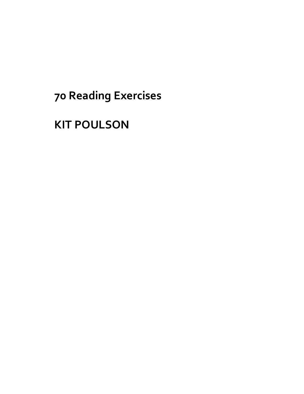# **70 Reading Exercises**

## **KIT POULSON**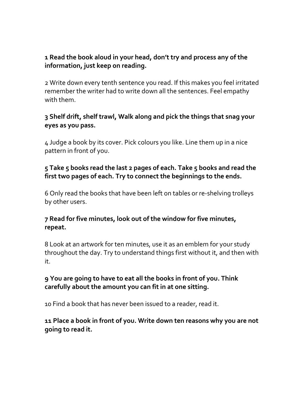## **1 Read the book aloud in your head, don't try and process any of the information, just keep on reading.**

2 Write down every tenth sentence you read. If this makes you feel irritated remember the writer had to write down all the sentences. Feel empathy with them.

#### **3 Shelf drift, shelf trawl, Walk along and pick the things that snag your eyes as you pass.**

4 Judge a book by its cover. Pick colours you like. Line them up in a nice pattern in front of you.

#### **5 Take 5 books read the last 2 pages of each. Take 5 books and read the first two pages of each. Try to connect the beginnings to the ends.**

6 Only read the books that have been left on tables or re-shelving trolleys by other users.

## **7 Read for five minutes, look out of the window for five minutes, repeat.**

8 Look at an artwork for ten minutes, use it as an emblem for your study throughout the day. Try to understand things first without it, and then with it.

#### **9 You are going to have to eat all the books in front of you. Think carefully about the amount you can fit in at one sitting.**

10 Find a book that has never been issued to a reader, read it.

#### **11 Place a book in front of you. Write down ten reasons why you are not going to read it.**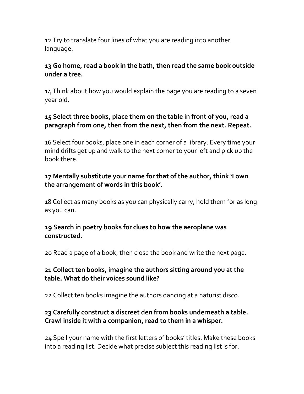12 Try to translate four lines of what you are reading into another language.

#### **13 Go home, read a book in the bath, then read the same book outside under a tree.**

14 Think about how you would explain the page you are reading to a seven year old.

## **15 Select three books, place them on the table in front of you, read a paragraph from one, then from the next, then from the next. Repeat.**

16 Select four books, place one in each corner of a library. Every time your mind drifts get up and walk to the next corner to your left and pick up the book there.

## **17 Mentally substitute your name for that of the author, think 'I own the arrangement of words in this book'.**

18 Collect as many books as you can physically carry, hold them for as long as you can.

## **19 Search in poetry books for clues to how the aeroplane was constructed.**

20 Read a page of a book, then close the book and write the next page.

## **21 Collect ten books, imagine the authors sitting around you at the table. What do their voices sound like?**

22 Collect ten books imagine the authors dancing at a naturist disco.

## **23 Carefully construct a discreet den from books underneath a table. Crawl inside it with a companion, read to them in a whisper.**

24 Spell your name with the first letters of books' titles. Make these books into a reading list. Decide what precise subject this reading list is for.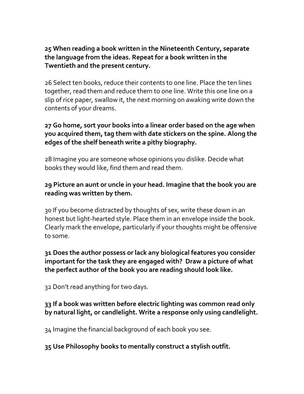#### **25 When reading a book written in the Nineteenth Century, separate the language from the ideas. Repeat for a book written in the Twentieth and the present century.**

26 Select ten books, reduce their contents to one line. Place the ten lines together, read them and reduce them to one line. Write this one line on a slip of rice paper, swallow it, the next morning on awaking write down the contents of your dreams.

#### **27 Go home, sort your books into a linear order based on the age when you acquired them, tag them with date stickers on the spine. Along the edges of the shelf beneath write a pithy biography.**

28 Imagine you are someone whose opinions you dislike. Decide what books they would like, find them and read them.

#### **29 Picture an aunt or uncle in your head. Imagine that the book you are reading was written by them.**

30 If you become distracted by thoughts of sex, write these down in an honest but light-hearted style. Place them in an envelope inside the book. Clearly mark the envelope, particularly if your thoughts might be offensive to some.

#### **31 Does the author possess or lack any biological features you consider important for the task they are engaged with? Draw a picture of what the perfect author of the book you are reading should look like.**

32 Don't read anything for two days.

#### **33 If a book was written before electric lighting was common read only by natural light, or candlelight. Write a response only using candlelight.**

34 Imagine the financial background of each book you see.

#### **35 Use Philosophy books to mentally construct a stylish outfit.**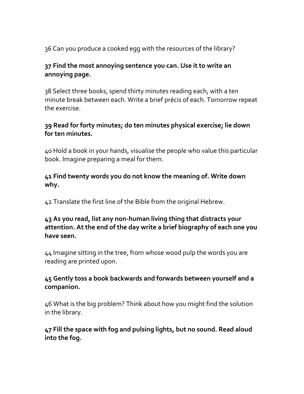36 Can you produce a cooked egg with the resources of the library?

## **37 Find the most annoying sentence you can. Use it to write an annoying page.**

38 Select three books, spend thirty minutes reading each, with a ten minute break between each. Write a brief précis of each. Tomorrow repeat the exercise.

## **39 Read for forty minutes; do ten minutes physical exercise; lie down for ten minutes.**

40 Hold a book in your hands, visualise the people who value this particular book. Imagine preparing a meal for them.

#### **41 Find twenty words you do not know the meaning of. Write down why.**

42 Translate the first line of the Bible from the original Hebrew.

#### **43 As you read, list any non-human living thing that distracts your attention. At the end of the day write a brief biography of each one you have seen.**

44 Imagine sitting in the tree, from whose wood pulp the words you are reading are printed upon.

## **45 Gently toss a book backwards and forwards between yourself and a companion.**

46 What is the big problem? Think about how you might find the solution in the library.

## **47 Fill the space with fog and pulsing lights, but no sound. Read aloud into the fog.**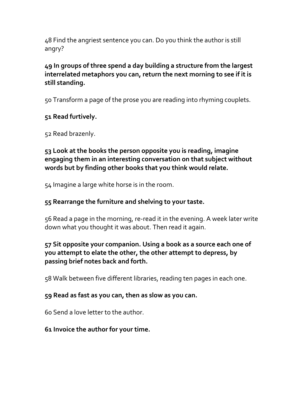48 Find the angriest sentence you can. Do you think the author is still angry?

**49 In groups of three spend a day building a structure from the largest interrelated metaphors you can, return the next morning to see if it is still standing.**

50 Transform a page of the prose you are reading into rhyming couplets.

## **51 Read furtively.**

52 Read brazenly.

## **53 Look at the books the person opposite you is reading, imagine engaging them in an interesting conversation on that subject without words but by finding other books that you think would relate.**

54 Imagine a large white horse is in the room.

## **55 Rearrange the furniture and shelving to your taste.**

56 Read a page in the morning, re-read it in the evening. A week later write down what you thought it was about. Then read it again.

## **57 Sit opposite your companion. Using a book as a source each one of you attempt to elate the other, the other attempt to depress, by passing brief notes back and forth.**

58 Walk between five different libraries, reading ten pages in each one.

## **59 Read as fast as you can, then as slow as you can.**

60 Send a love letter to the author.

## **61 Invoice the author for your time.**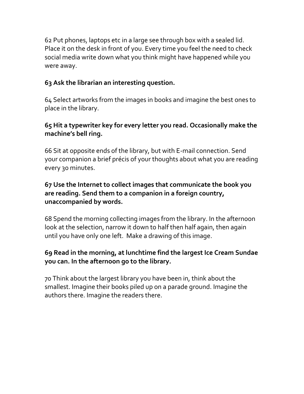62 Put phones, laptops etc in a large see through box with a sealed lid. Place it on the desk in front of you. Every time you feel the need to check social media write down what you think might have happened while you were away.

## **63 Ask the librarian an interesting question.**

64 Select artworks from the images in books and imagine the best ones to place in the library.

## **65 Hit a typewriter key for every letter you read. Occasionally make the machine's bell ring.**

66 Sit at opposite ends of the library, but with E-mail connection. Send your companion a brief précis of your thoughts about what you are reading every 30 minutes.

## **67 Use the Internet to collect images that communicate the book you are reading. Send them to a companion in a foreign country, unaccompanied by words.**

68 Spend the morning collecting images from the library. In the afternoon look at the selection, narrow it down to half then half again, then again until you have only one left. Make a drawing of this image.

## **69 Read in the morning, at lunchtime find the largest Ice Cream Sundae you can. In the afternoon go to the library.**

70 Think about the largest library you have been in, think about the smallest. Imagine their books piled up on a parade ground. Imagine the authors there. Imagine the readers there.